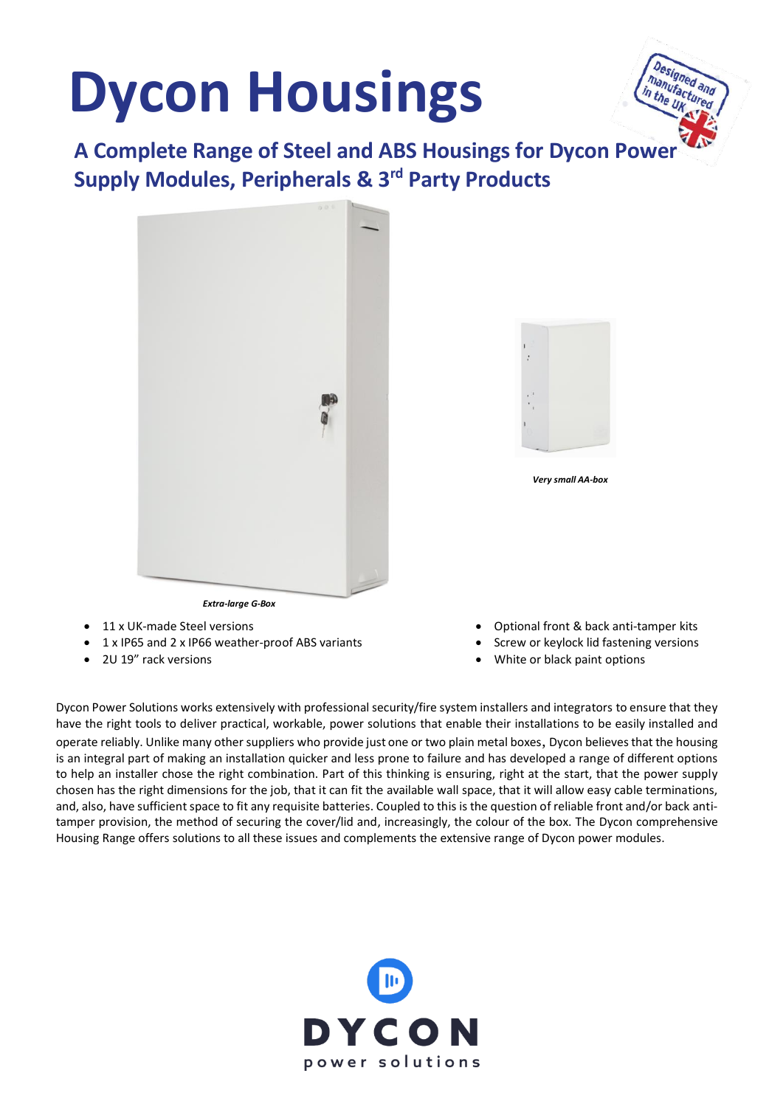# **Dycon Housings**



**A Complete Range of Steel and ABS Housings for Dycon Power Supply Modules, Peripherals & 3rd Party Products**





*Very small AA-box* 

- 
- 11 x UK-made Steel versions
- 1 x IP65 and 2 x IP66 weather-proof ABS variants
- 2U 19" rack versions
- Optional front & back anti-tamper kits
- Screw or keylock lid fastening versions
- White or black paint options

Dycon Power Solutions works extensively with professional security/fire system installers and integrators to ensure that they have the right tools to deliver practical, workable, power solutions that enable their installations to be easily installed and operate reliably. Unlike many other suppliers who provide just one or two plain metal boxes, Dycon believes that the housing is an integral part of making an installation quicker and less prone to failure and has developed a range of different options to help an installer chose the right combination. Part of this thinking is ensuring, right at the start, that the power supply chosen has the right dimensions for the job, that it can fit the available wall space, that it will allow easy cable terminations, and, also, have sufficient space to fit any requisite batteries. Coupled to this is the question of reliable front and/or back antitamper provision, the method of securing the cover/lid and, increasingly, the colour of the box. The Dycon comprehensive Housing Range offers solutions to all these issues and complements the extensive range of Dycon power modules.

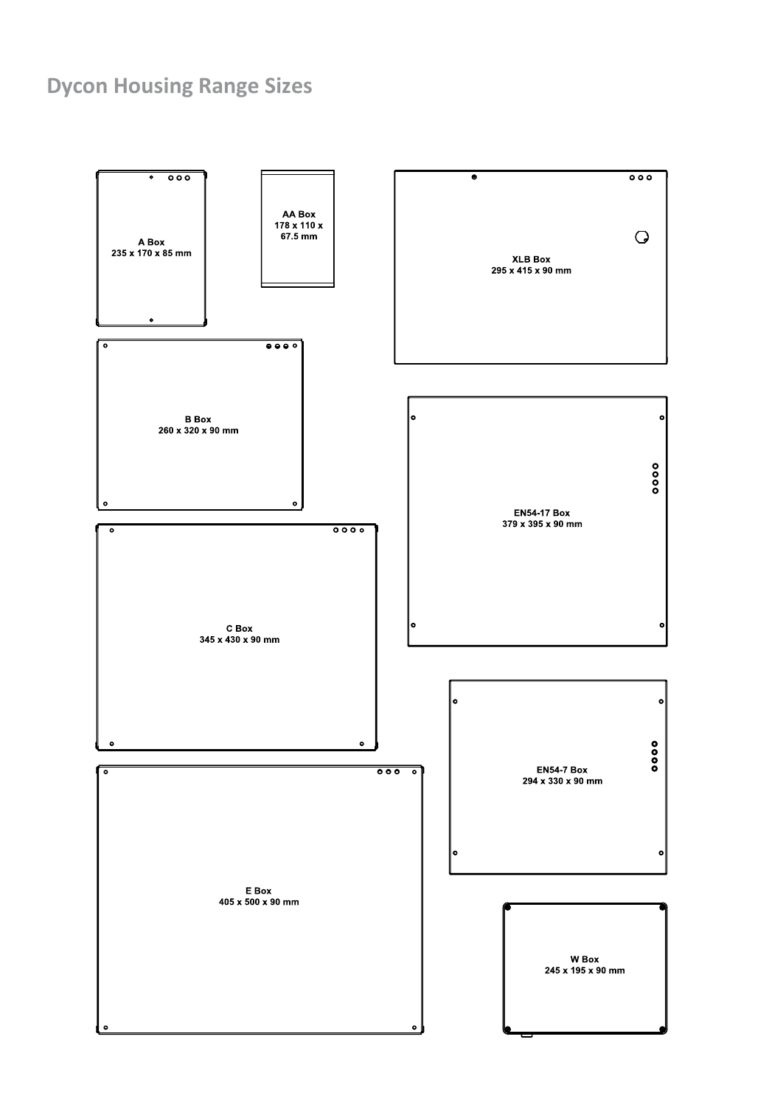# **Dycon Housing Range Sizes**

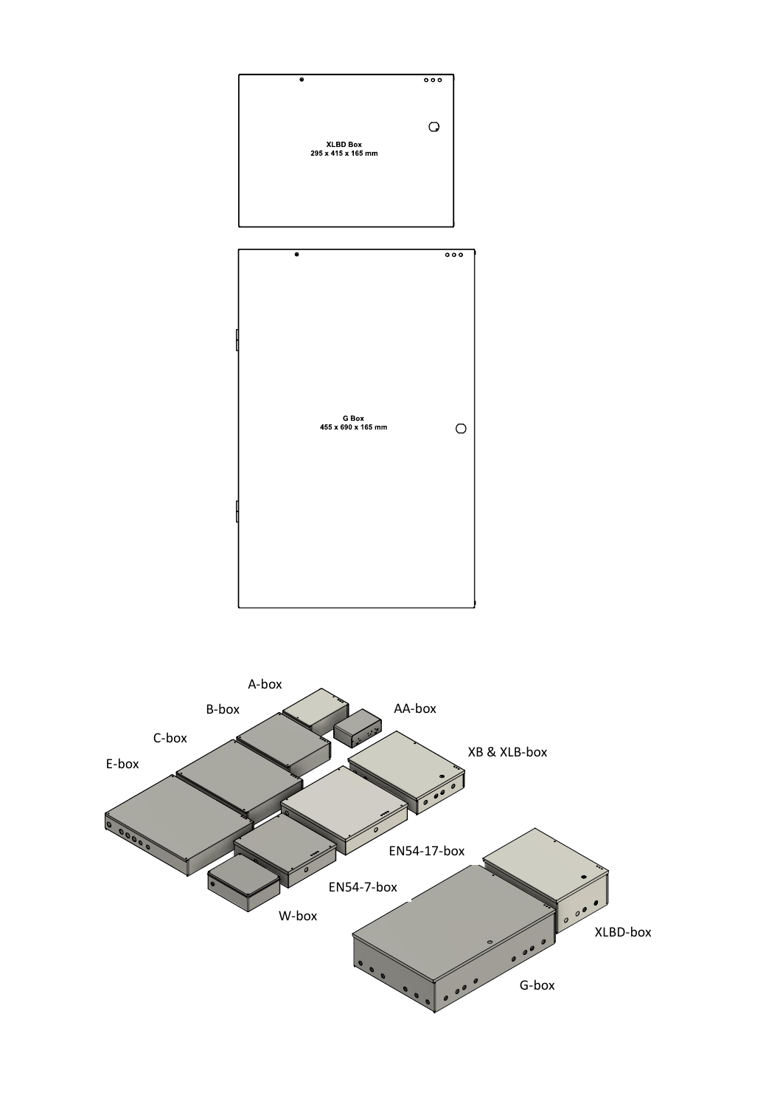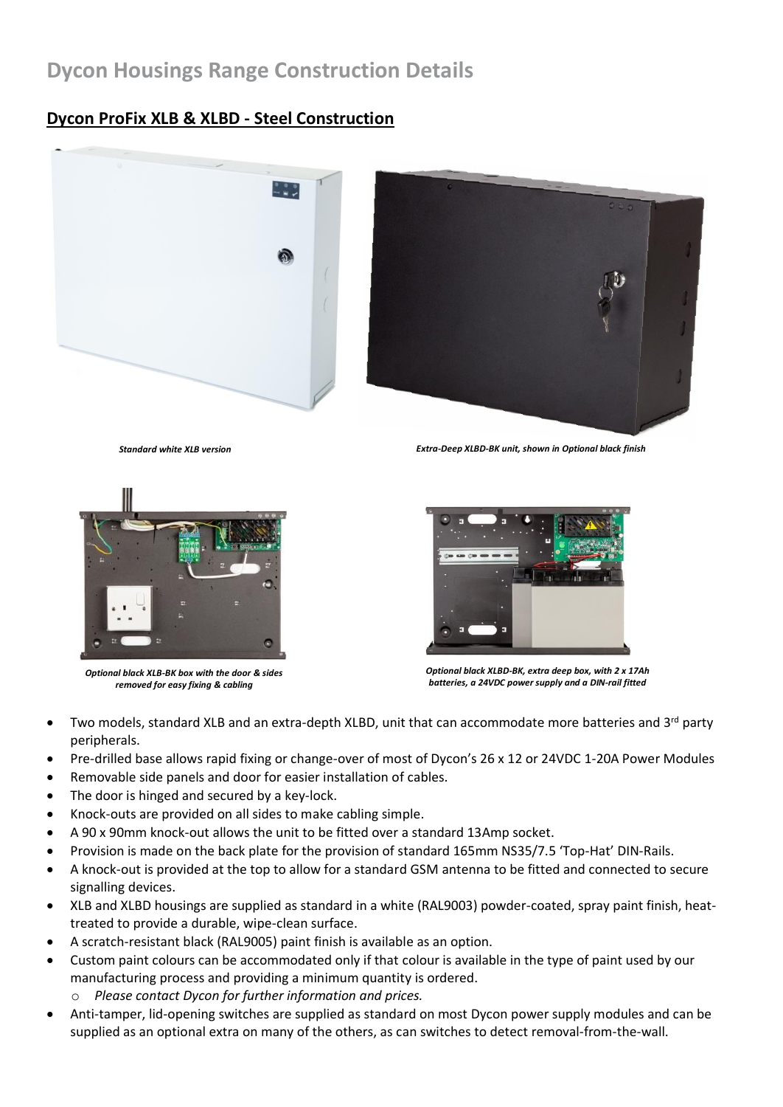# **Dycon Housings Range Construction Details**

## **Dycon ProFix XLB & XLBD - Steel Construction**





*Standard white XLB version Extra-Deep XLBD-BK unit, shown in Optional black finish*



*Optional black XLB-BK box with the door & sides removed for easy fixing & cabling*



*Optional black XLBD-BK, extra deep box, with 2 x 17Ah batteries, a 24VDC power supply and a DIN-rail fitted*

- Two models, standard XLB and an extra-depth XLBD, unit that can accommodate more batteries and 3<sup>rd</sup> party peripherals.
- Pre-drilled base allows rapid fixing or change-over of most of Dycon's 26 x 12 or 24VDC 1-20A Power Modules
- Removable side panels and door for easier installation of cables.
- The door is hinged and secured by a key-lock.
- Knock-outs are provided on all sides to make cabling simple.
- A 90 x 90mm knock-out allows the unit to be fitted over a standard 13Amp socket.
- Provision is made on the back plate for the provision of standard 165mm NS35/7.5 'Top-Hat' DIN-Rails.
- A knock-out is provided at the top to allow for a standard GSM antenna to be fitted and connected to secure signalling devices.
- XLB and XLBD housings are supplied as standard in a white (RAL9003) powder-coated, spray paint finish, heattreated to provide a durable, wipe-clean surface.
- A scratch-resistant black (RAL9005) paint finish is available as an option.
- Custom paint colours can be accommodated only if that colour is available in the type of paint used by our manufacturing process and providing a minimum quantity is ordered.
	- Please contact Dycon for further information and prices.
- Anti-tamper, lid-opening switches are supplied as standard on most Dycon power supply modules and can be supplied as an optional extra on many of the others, as can switches to detect removal-from-the-wall.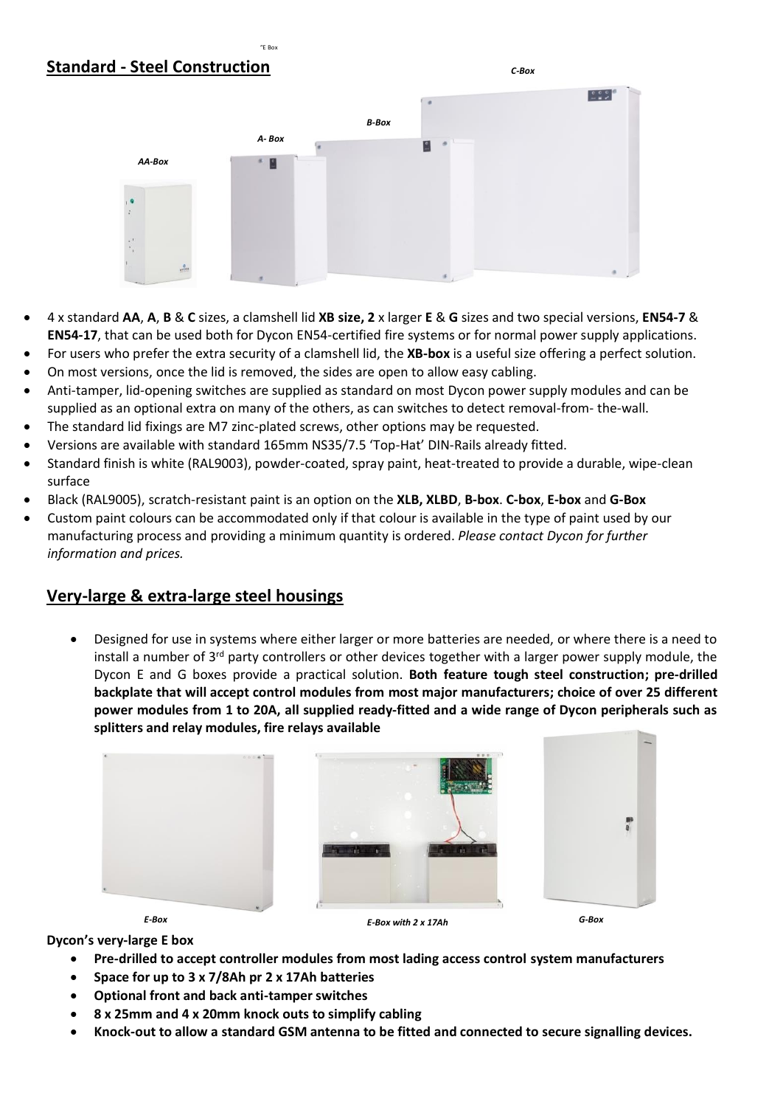## **Standard - Steel Construction**



*C-Box*

- 4 x standard **AA**, **A**, **B** & **C** sizes, a clamshell lid **XB size, 2** x larger **E** & **G** sizes and two special versions, **EN54-7** & **EN54-17**, that can be used both for Dycon EN54-certified fire systems or for normal power supply applications.
- For users who prefer the extra security of a clamshell lid, the **XB-box** is a useful size offering a perfect solution.
- On most versions, once the lid is removed, the sides are open to allow easy cabling.

 $E_{E}$ 

- Anti-tamper, lid-opening switches are supplied as standard on most Dycon power supply modules and can be supplied as an optional extra on many of the others, as can switches to detect removal-from- the-wall.
- The standard lid fixings are M7 zinc-plated screws, other options may be requested.
- Versions are available with standard 165mm NS35/7.5 'Top-Hat' DIN-Rails already fitted.
- Standard finish is white (RAL9003), powder-coated, spray paint, heat-treated to provide a durable, wipe-clean surface
- Black (RAL9005), scratch-resistant paint is an option on the **XLB, XLBD**, **B-box**. **C-box**, **E-box** and **G-Box**
- Custom paint colours can be accommodated only if that colour is available in the type of paint used by our manufacturing process and providing a minimum quantity is ordered. *Please contact Dycon for further information and prices.*

#### **Very-large & extra-large steel housings**

• Designed for use in systems where either larger or more batteries are needed, or where there is a need to install a number of 3<sup>rd</sup> party controllers or other devices together with a larger power supply module, the Dycon E and G boxes provide a practical solution. **Both feature tough steel construction; pre-drilled backplate that will accept control modules from most major manufacturers; choice of over 25 different power modules from 1 to 20A, all supplied ready-fitted and a wide range of Dycon peripherals such as splitters and relay modules, fire relays available**



**Dycon's very-large E box**

- **Pre-drilled to accept controller modules from most lading access control system manufacturers**
- **Space for up to 3 x 7/8Ah pr 2 x 17Ah batteries**
- **Optional front and back anti-tamper switches**
- **8 x 25mm and 4 x 20mm knock outs to simplify cabling**
- **Knock-out to allow a standard GSM antenna to be fitted and connected to secure signalling devices.**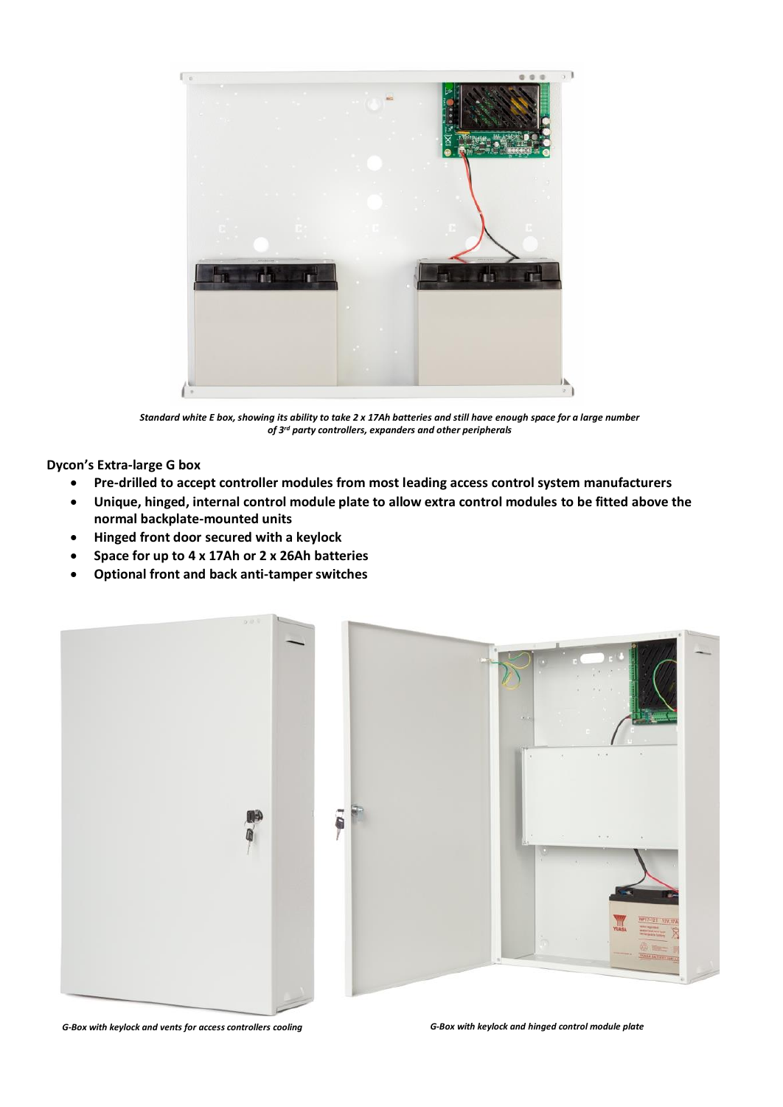

*Standard white E box, showing its ability to take 2 x 17Ah batteries and still have enough space for a large number of 3rd party controllers, expanders and other peripherals*

**Dycon's Extra-large G box**

- **Pre-drilled to accept controller modules from most leading access control system manufacturers**
- **Unique, hinged, internal control module plate to allow extra control modules to be fitted above the normal backplate-mounted units**
- **Hinged front door secured with a keylock**
- **Space for up to 4 x 17Ah or 2 x 26Ah batteries**
- **Optional front and back anti-tamper switches**



*G-Box with keylock and vents for access controllers cooling G-Box with keylock and hinged control module plate*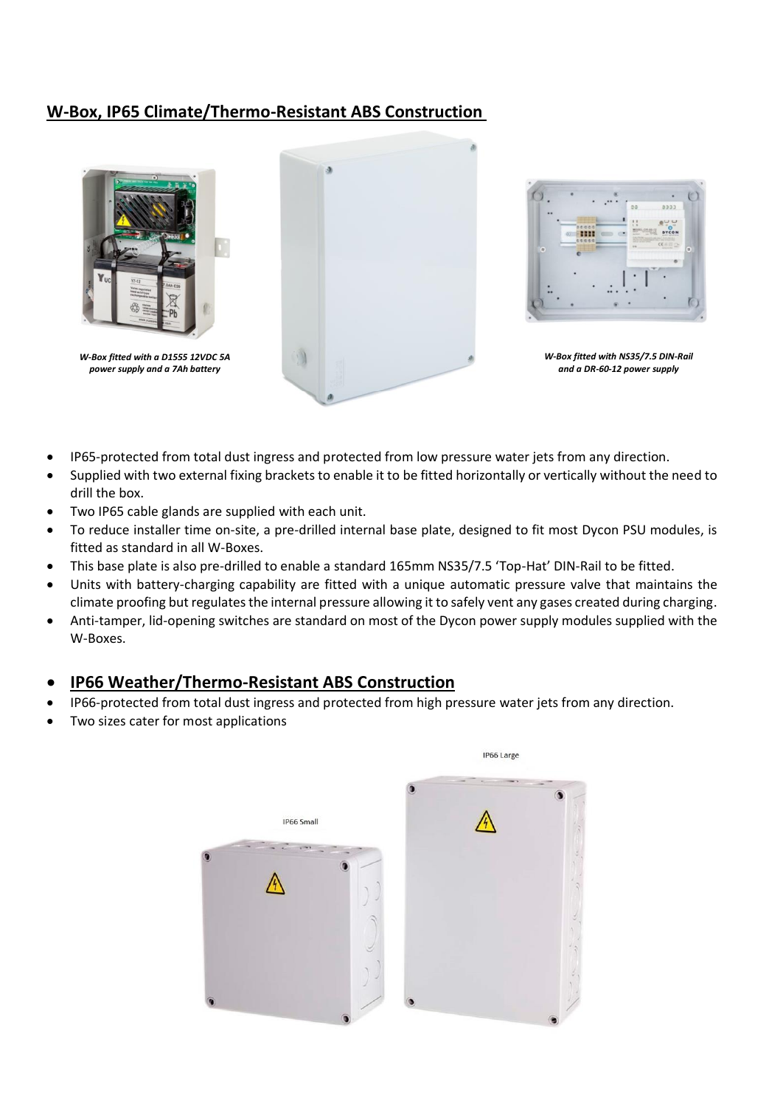## **W-Box, IP65 Climate/Thermo-Resistant ABS Construction**



*W-Box fitted with a D1555 12VDC 5A power supply and a 7Ah battery*



|          |                                     | 00      | 0222                                                                        |                |
|----------|-------------------------------------|---------|-----------------------------------------------------------------------------|----------------|
| $\alpha$ | 00000<br>Ø)<br>00000<br><b>SERE</b> | п<br>14 | پ<br>11.0545.00<br>DYCON<br><b>SCHOOL</b><br>۰<br><b>CONTRACTOR</b><br>大正ツン | $\blacksquare$ |
|          |                                     |         |                                                                             |                |
|          |                                     |         |                                                                             |                |

*W-Box fitted with NS35/7.5 DIN-Rail and a DR-60-12 power supply*

- IP65-protected from total dust ingress and protected from low pressure water jets from any direction.
- Supplied with two external fixing brackets to enable it to be fitted horizontally or vertically without the need to drill the box.
- Two IP65 cable glands are supplied with each unit.
- To reduce installer time on-site, a pre-drilled internal base plate, designed to fit most Dycon PSU modules, is fitted as standard in all W-Boxes.
- This base plate is also pre-drilled to enable a standard 165mm NS35/7.5 'Top-Hat' DIN-Rail to be fitted.
- Units with battery-charging capability are fitted with a unique automatic pressure valve that maintains the climate proofing but regulates the internal pressure allowing it to safely vent any gases created during charging.
- Anti-tamper, lid-opening switches are standard on most of the Dycon power supply modules supplied with the W-Boxes.

#### • **IP66 Weather/Thermo-Resistant ABS Construction**

- IP66-protected from total dust ingress and protected from high pressure water jets from any direction.
- Two sizes cater for most applications